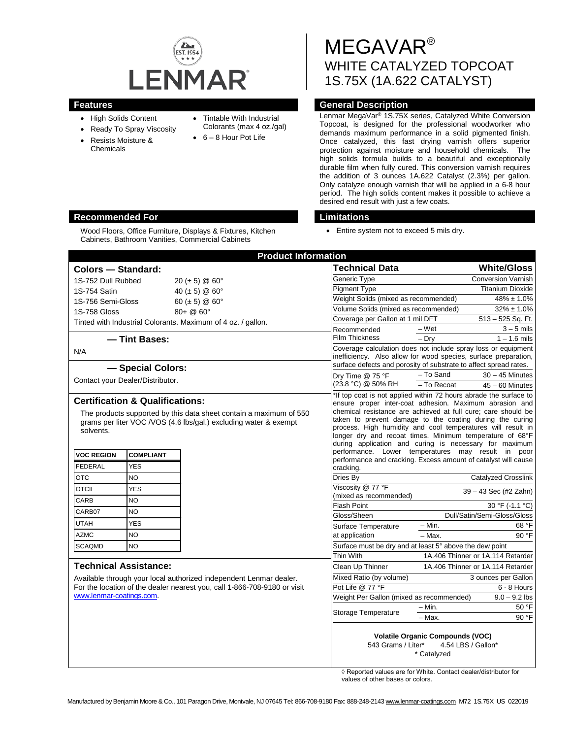

- High Solids Content
- Ready To Spray Viscosity
- Resists Moisture & Chemicals
- Tintable With Industrial Colorants (max 4 oz./gal)
- 
- 6 8 Hour Pot Life

# MEGAVAR® WHITE CATALYZED TOPCOAT 1S.75X (1A.622 CATALYST)

# **Features Features General Description**

Lenmar MegaVar® 1S.75X series, Catalyzed White Conversion Topcoat, is designed for the professional woodworker who demands maximum performance in a solid pigmented finish. Once catalyzed, this fast drying varnish offers superior protection against moisture and household chemicals. The high solids formula builds to a beautiful and exceptionally durable film when fully cured. This conversion varnish requires the addition of 3 ounces 1A.622 Catalyst (2.3%) per gallon. Only catalyze enough varnish that will be applied in a 6-8 hour period. The high solids content makes it possible to achieve a desired end result with just a few coats.

• Entire system not to exceed 5 mils dry.

|                                                                                                                                                                                                            | <b>Product Information</b>    |                                                                                                                                                                                                                                                                                                                                                                                                                                                                                                                                                                        |                     |                                   |
|------------------------------------------------------------------------------------------------------------------------------------------------------------------------------------------------------------|-------------------------------|------------------------------------------------------------------------------------------------------------------------------------------------------------------------------------------------------------------------------------------------------------------------------------------------------------------------------------------------------------------------------------------------------------------------------------------------------------------------------------------------------------------------------------------------------------------------|---------------------|-----------------------------------|
| <b>Colors - Standard:</b>                                                                                                                                                                                  |                               | Technical Data                                                                                                                                                                                                                                                                                                                                                                                                                                                                                                                                                         |                     | <b>White/Gloss</b>                |
| 1S-752 Dull Rubbed                                                                                                                                                                                         | 20 ( $\pm$ 5) @ 60 $^{\circ}$ | Generic Type                                                                                                                                                                                                                                                                                                                                                                                                                                                                                                                                                           |                     | <b>Conversion Varnish</b>         |
| 1S-754 Satin                                                                                                                                                                                               | 40 ( $\pm$ 5) @ 60 $^{\circ}$ | <b>Pigment Type</b>                                                                                                                                                                                                                                                                                                                                                                                                                                                                                                                                                    |                     | <b>Titanium Dioxide</b>           |
| 1S-756 Semi-Gloss<br>60 ( $\pm$ 5) @ 60 $^{\circ}$                                                                                                                                                         |                               | Weight Solids (mixed as recommended)<br>$48\% \pm 1.0\%$                                                                                                                                                                                                                                                                                                                                                                                                                                                                                                               |                     |                                   |
| <b>1S-758 Gloss</b>                                                                                                                                                                                        | $80 + \omega$ 60°             | Volume Solids (mixed as recommended)                                                                                                                                                                                                                                                                                                                                                                                                                                                                                                                                   |                     | $32\% \pm 1.0\%$                  |
| Tinted with Industrial Colorants. Maximum of 4 oz. / gallon.                                                                                                                                               |                               | Coverage per Gallon at 1 mil DFT                                                                                                                                                                                                                                                                                                                                                                                                                                                                                                                                       |                     | 513 - 525 Sq. Ft.                 |
|                                                                                                                                                                                                            |                               | Recommended<br>Film Thickness                                                                                                                                                                                                                                                                                                                                                                                                                                                                                                                                          | $-Wet$<br>$-$ Drv   | $3 - 5$ mils<br>$1 - 1.6$ mils    |
| - Tint Bases:                                                                                                                                                                                              |                               | Coverage calculation does not include spray loss or equipment<br>inefficiency. Also allow for wood species, surface preparation,                                                                                                                                                                                                                                                                                                                                                                                                                                       |                     |                                   |
| N/A                                                                                                                                                                                                        |                               |                                                                                                                                                                                                                                                                                                                                                                                                                                                                                                                                                                        |                     |                                   |
| - Special Colors:                                                                                                                                                                                          |                               | surface defects and porosity of substrate to affect spread rates.                                                                                                                                                                                                                                                                                                                                                                                                                                                                                                      |                     |                                   |
| Contact your Dealer/Distributor.                                                                                                                                                                           |                               | Dry Time @ 75 °F<br>(23.8 °C) @ 50% RH                                                                                                                                                                                                                                                                                                                                                                                                                                                                                                                                 | - To Sand           | $30 - 45$ Minutes                 |
|                                                                                                                                                                                                            |                               |                                                                                                                                                                                                                                                                                                                                                                                                                                                                                                                                                                        | - To Recoat         | $45 - 60$ Minutes                 |
| <b>Certification &amp; Qualifications:</b><br>The products supported by this data sheet contain a maximum of 550<br>grams per liter VOC /VOS (4.6 lbs/gal.) excluding water & exempt<br>solvents.          |                               | *If top coat is not applied within 72 hours abrade the surface to<br>ensure proper inter-coat adhesion. Maximum abrasion and<br>chemical resistance are achieved at full cure; care should be<br>taken to prevent damage to the coating during the curing<br>process. High humidity and cool temperatures will result in<br>longer dry and recoat times. Minimum temperature of 68°F<br>during application and curing is necessary for maximum<br>performance. Lower temperatures may result in poor<br>performance and cracking. Excess amount of catalyst will cause |                     |                                   |
| <b>VOC REGION</b><br><b>COMPLIANT</b>                                                                                                                                                                      |                               |                                                                                                                                                                                                                                                                                                                                                                                                                                                                                                                                                                        |                     |                                   |
| <b>FEDERAL</b><br><b>YES</b>                                                                                                                                                                               |                               | cracking.                                                                                                                                                                                                                                                                                                                                                                                                                                                                                                                                                              |                     |                                   |
| <b>OTC</b><br><b>NO</b>                                                                                                                                                                                    |                               | Dries By                                                                                                                                                                                                                                                                                                                                                                                                                                                                                                                                                               |                     | Catalyzed Crosslink               |
| OTCII<br><b>YES</b>                                                                                                                                                                                        |                               | Viscosity @ 77 °F<br>(mixed as recommended)                                                                                                                                                                                                                                                                                                                                                                                                                                                                                                                            |                     | 39 - 43 Sec (#2 Zahn)             |
| CARB<br>NO.                                                                                                                                                                                                |                               | <b>Flash Point</b>                                                                                                                                                                                                                                                                                                                                                                                                                                                                                                                                                     |                     | 30 °F (-1.1 °C)                   |
| CARB07<br><b>NO</b>                                                                                                                                                                                        |                               | Gloss/Sheen                                                                                                                                                                                                                                                                                                                                                                                                                                                                                                                                                            |                     | Dull/Satin/Semi-Gloss/Gloss       |
| <b>UTAH</b><br><b>YES</b>                                                                                                                                                                                  |                               | Surface Temperature                                                                                                                                                                                                                                                                                                                                                                                                                                                                                                                                                    | - Min.              | 68 °F                             |
| <b>AZMC</b><br><b>NO</b>                                                                                                                                                                                   |                               | at application                                                                                                                                                                                                                                                                                                                                                                                                                                                                                                                                                         | $-$ Max.            | 90 °F                             |
| <b>SCAQMD</b><br><b>NO</b>                                                                                                                                                                                 |                               | Surface must be dry and at least 5° above the dew point                                                                                                                                                                                                                                                                                                                                                                                                                                                                                                                |                     |                                   |
|                                                                                                                                                                                                            |                               | Thin With                                                                                                                                                                                                                                                                                                                                                                                                                                                                                                                                                              |                     | 1A.406 Thinner or 1A.114 Retarder |
| <b>Technical Assistance:</b><br>Available through your local authorized independent Lenmar dealer.<br>For the location of the dealer nearest you, call 1-866-708-9180 or visit<br>www.lenmar-coatings.com. |                               | Clean Up Thinner                                                                                                                                                                                                                                                                                                                                                                                                                                                                                                                                                       |                     | 1A.406 Thinner or 1A.114 Retarder |
|                                                                                                                                                                                                            |                               | Mixed Ratio (by volume)                                                                                                                                                                                                                                                                                                                                                                                                                                                                                                                                                | 3 ounces per Gallon |                                   |
|                                                                                                                                                                                                            |                               | Pot Life @ 77 °F                                                                                                                                                                                                                                                                                                                                                                                                                                                                                                                                                       |                     | 6 - 8 Hours                       |
|                                                                                                                                                                                                            |                               | Weight Per Gallon (mixed as recommended)                                                                                                                                                                                                                                                                                                                                                                                                                                                                                                                               |                     | $9.0 - 9.2$ lbs                   |
|                                                                                                                                                                                                            |                               | Storage Temperature                                                                                                                                                                                                                                                                                                                                                                                                                                                                                                                                                    | $-$ Min.            | 50 °F                             |
|                                                                                                                                                                                                            |                               |                                                                                                                                                                                                                                                                                                                                                                                                                                                                                                                                                                        | - Max.              | 90 °F                             |
|                                                                                                                                                                                                            |                               | <b>Volatile Organic Compounds (VOC)</b><br>4.54 LBS / Gallon*<br>543 Grams / Liter*<br>* Catalyzed                                                                                                                                                                                                                                                                                                                                                                                                                                                                     |                     |                                   |

◊ Reported values are for White. Contact dealer/distributor for values of other bases or colors.

# **Recommended For Limitations**

Wood Floors, Office Furniture, Displays & Fixtures, Kitchen Cabinets, Bathroom Vanities, Commercial Cabinets